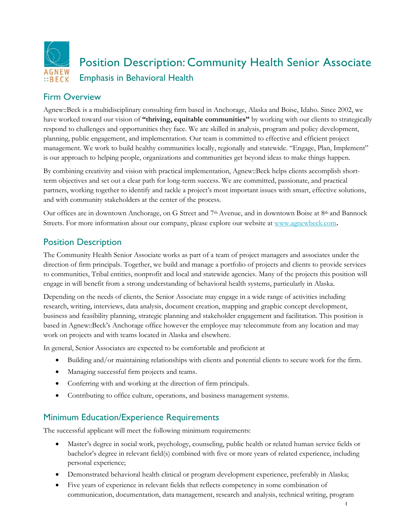

# Firm Overview

Agnew::Beck is a multidisciplinary consulting firm based in Anchorage, Alaska and Boise, Idaho. Since 2002, we have worked toward our vision of **"thriving, equitable communities"** by working with our clients to strategically respond to challenges and opportunities they face. We are skilled in analysis, program and policy development, planning, public engagement, and implementation. Our team is committed to effective and efficient project management. We work to build healthy communities locally, regionally and statewide. "Engage, Plan, Implement" is our approach to helping people, organizations and communities get beyond ideas to make things happen.

By combining creativity and vision with practical implementation, Agnew::Beck helps clients accomplish shortterm objectives and set out a clear path for long-term success. We are committed, passionate, and practical partners, working together to identify and tackle a project's most important issues with smart, effective solutions, and with community stakeholders at the center of the process.

Our offices are in downtown Anchorage, on G Street and 7<sup>th</sup> Avenue, and in downtown Boise at 8<sup>th</sup> and Bannock Streets. For more information about our company, please explore our website at [www.agnewbeck.com](http://www.agnewbeck.com/)**.**

# Position Description

The Community Health Senior Associate works as part of a team of project managers and associates under the direction of firm principals. Together, we build and manage a portfolio of projects and clients to provide services to communities, Tribal entities, nonprofit and local and statewide agencies. Many of the projects this position will engage in will benefit from a strong understanding of behavioral health systems, particularly in Alaska.

Depending on the needs of clients, the Senior Associate may engage in a wide range of activities including research, writing, interviews, data analysis, document creation, mapping and graphic concept development, business and feasibility planning, strategic planning and stakeholder engagement and facilitation. This position is based in Agnew::Beck's Anchorage office however the employee may telecommute from any location and may work on projects and with teams located in Alaska and elsewhere.

In general, Senior Associates are expected to be comfortable and proficient at

- Building and/or maintaining relationships with clients and potential clients to secure work for the firm.
- Managing successful firm projects and teams.
- Conferring with and working at the direction of firm principals.
- Contributing to office culture, operations, and business management systems.

# Minimum Education/Experience Requirements

The successful applicant will meet the following minimum requirements:

- Master's degree in social work, psychology, counseling, public health or related human service fields or bachelor's degree in relevant field(s) combined with five or more years of related experience, including personal experience;
- Demonstrated behavioral health clinical or program development experience, preferably in Alaska;
- Five years of experience in relevant fields that reflects competency in some combination of communication, documentation, data management, research and analysis, technical writing, program